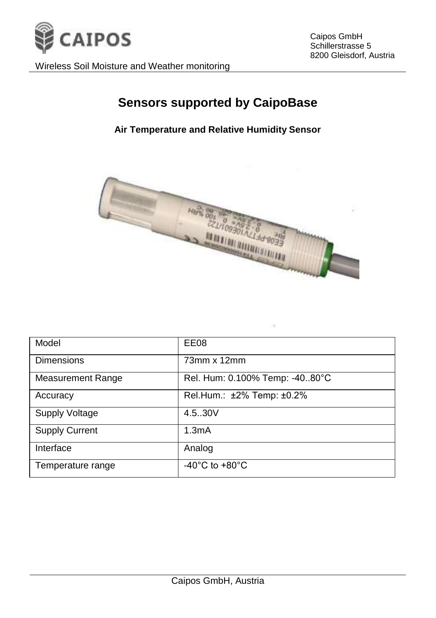

Caipos GmbH Schillerstrasse 5 8200 Gleisdorf, Austria

Wireless Soil Moisture and Weather monitoring

## **Sensors supported by CaipoBase**

#### **Air Temperature and Relative Humidity Sensor**



| Model                    | EE08                                 |
|--------------------------|--------------------------------------|
| Dimensions               | 73mm x 12mm                          |
| <b>Measurement Range</b> | Rel. Hum: 0.100% Temp: -4080°C       |
| Accuracy                 | Rel.Hum.: ±2% Temp: ±0.2%            |
| <b>Supply Voltage</b>    | 4.5.30V                              |
| <b>Supply Current</b>    | 1.3mA                                |
| Interface                | Analog                               |
| Temperature range        | -40 $^{\circ}$ C to +80 $^{\circ}$ C |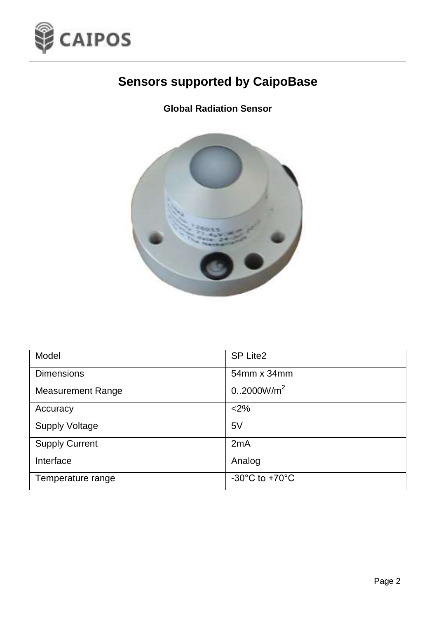

**Global Radiation Sensor**



| Model                    | SP Lite2                             |
|--------------------------|--------------------------------------|
| <b>Dimensions</b>        | 54mm x 34mm                          |
| <b>Measurement Range</b> | 0.2000W/m <sup>2</sup>               |
| Accuracy                 | < 2%                                 |
| <b>Supply Voltage</b>    | 5V                                   |
| <b>Supply Current</b>    | 2mA                                  |
| Interface                | Analog                               |
| Temperature range        | -30 $^{\circ}$ C to +70 $^{\circ}$ C |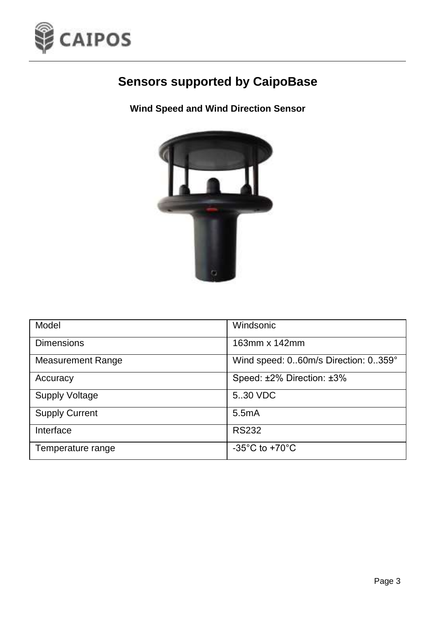

### **Wind Speed and Wind Direction Sensor**



| Model                    | Windsonic                            |
|--------------------------|--------------------------------------|
| <b>Dimensions</b>        | 163mm x 142mm                        |
| <b>Measurement Range</b> | Wind speed: 060m/s Direction: 0359°  |
| Accuracy                 | Speed: ±2% Direction: ±3%            |
| <b>Supply Voltage</b>    | 5.30 VDC                             |
| <b>Supply Current</b>    | 5.5mA                                |
| Interface                | <b>RS232</b>                         |
| Temperature range        | -35 $^{\circ}$ C to +70 $^{\circ}$ C |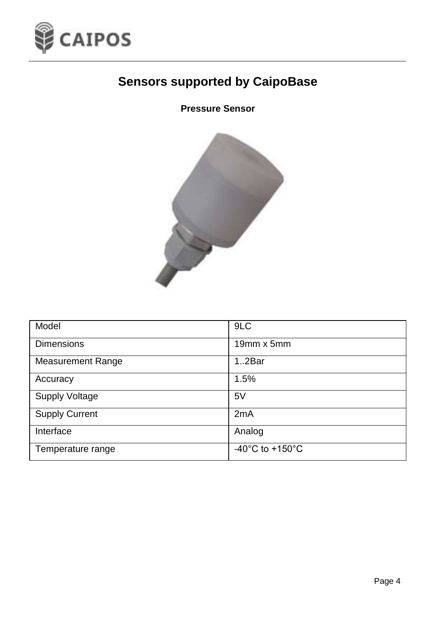

#### **Pressure Sensor**



| Model                    | 9LC                                   |
|--------------------------|---------------------------------------|
| <b>Dimensions</b>        | 19mm x 5mm                            |
| <b>Measurement Range</b> | 12Bar                                 |
| Accuracy                 | 1.5%                                  |
| Supply Voltage           | 5V                                    |
| <b>Supply Current</b>    | 2mA                                   |
| Interface                | Analog                                |
| Temperature range        | -40 $^{\circ}$ C to +150 $^{\circ}$ C |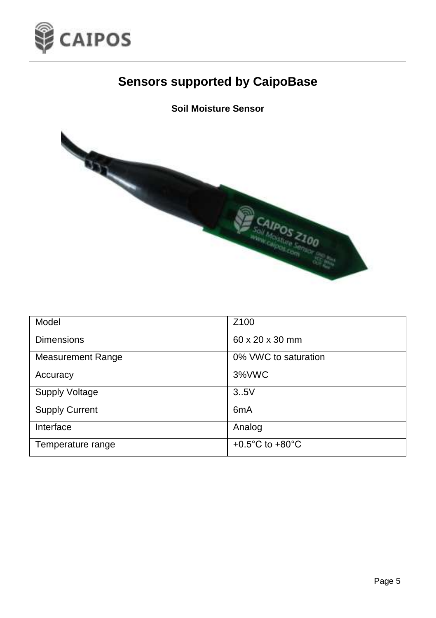

#### **Soil Moisture Sensor**



| Model                    | Z <sub>100</sub>                      |
|--------------------------|---------------------------------------|
| <b>Dimensions</b>        | 60 x 20 x 30 mm                       |
| <b>Measurement Range</b> | 0% VWC to saturation                  |
| Accuracy                 | 3%VWC                                 |
| <b>Supply Voltage</b>    | 3.5V                                  |
| <b>Supply Current</b>    | 6 <sub>m</sub> A                      |
| Interface                | Analog                                |
| Temperature range        | +0.5 $^{\circ}$ C to +80 $^{\circ}$ C |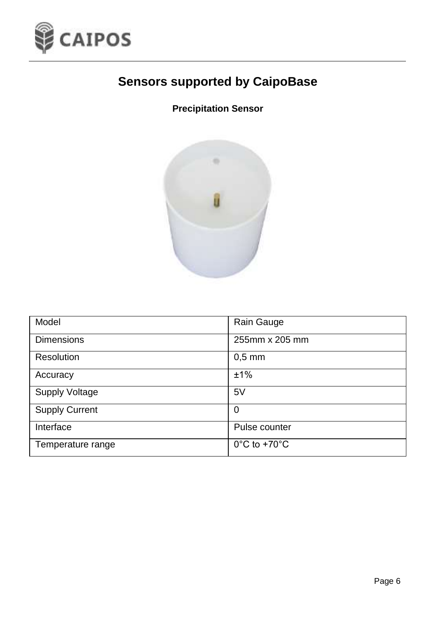

### **Precipitation Sensor**



| Model                 | Rain Gauge                        |
|-----------------------|-----------------------------------|
| <b>Dimensions</b>     | 255mm x 205 mm                    |
| Resolution            | $0.5$ mm                          |
| Accuracy              | ±1%                               |
| <b>Supply Voltage</b> | 5V                                |
| <b>Supply Current</b> | 0                                 |
| Interface             | Pulse counter                     |
| Temperature range     | $0^{\circ}$ C to +70 $^{\circ}$ C |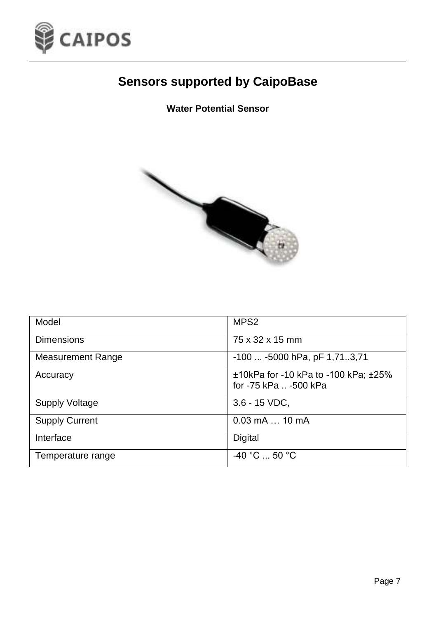

#### **Water Potential Sensor**



| Model                    | MPS <sub>2</sub>                                                  |
|--------------------------|-------------------------------------------------------------------|
| Dimensions               | 75 x 32 x 15 mm                                                   |
| <b>Measurement Range</b> | -100  -5000 hPa, pF 1,713,71                                      |
| Accuracy                 | $±10kPa$ for -10 kPa to -100 kPa; $±25%$<br>for -75 kPa  -500 kPa |
| <b>Supply Voltage</b>    | $3.6 - 15$ VDC,                                                   |
| <b>Supply Current</b>    | $0.03$ mA $\dots$ 10 mA                                           |
| Interface                | Digital                                                           |
| Temperature range        | $-40 °C$ 50 °C                                                    |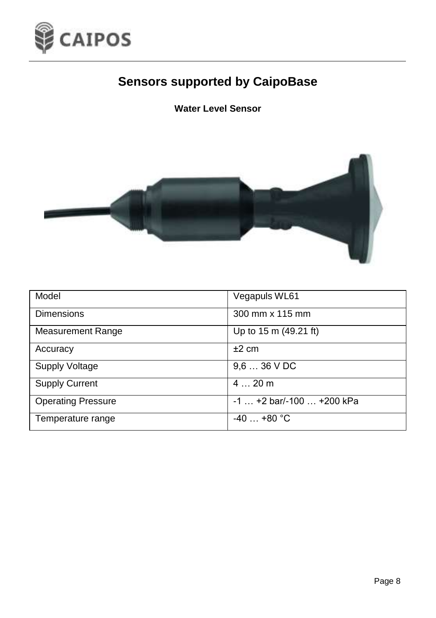

#### **Water Level Sensor**



| Model                     | Vegapuls WL61              |
|---------------------------|----------------------------|
| <b>Dimensions</b>         | 300 mm x 115 mm            |
| <b>Measurement Range</b>  | Up to 15 m (49.21 ft)      |
| Accuracy                  | ±2 cm                      |
| Supply Voltage            | $9.636$ V DC               |
| <b>Supply Current</b>     | 420m                       |
| <b>Operating Pressure</b> | $-1$ +2 bar/-100  +200 kPa |
| Temperature range         | $-40$ +80 °C               |